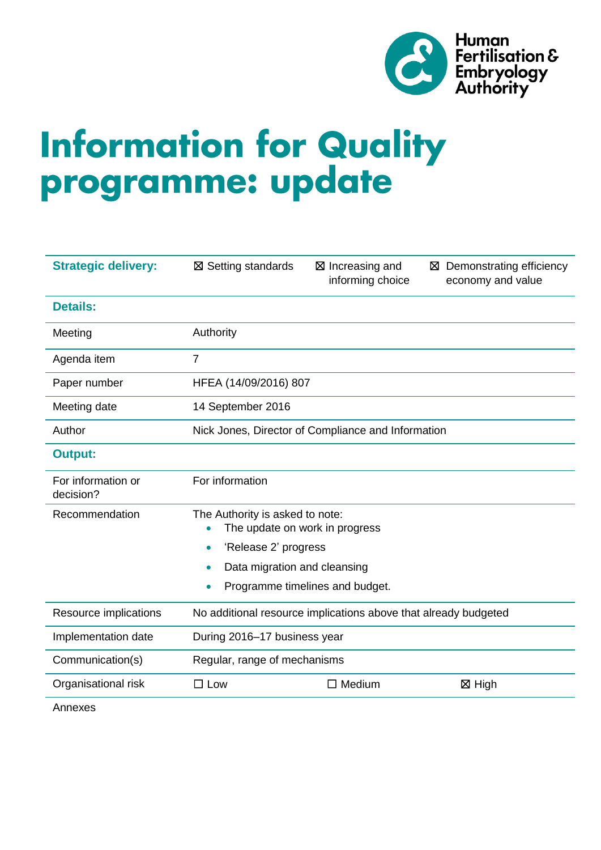

# **Information for Quality<br>programme: update**

| <b>Strategic delivery:</b>      | ⊠ Setting standards                                                                                                                                                                 | ⊠ Increasing and<br>informing choice |  | ⊠ Demonstrating efficiency<br>economy and value |  |  |  |  |
|---------------------------------|-------------------------------------------------------------------------------------------------------------------------------------------------------------------------------------|--------------------------------------|--|-------------------------------------------------|--|--|--|--|
| <b>Details:</b>                 |                                                                                                                                                                                     |                                      |  |                                                 |  |  |  |  |
| Meeting                         | Authority                                                                                                                                                                           |                                      |  |                                                 |  |  |  |  |
| Agenda item                     | $\overline{7}$                                                                                                                                                                      |                                      |  |                                                 |  |  |  |  |
| Paper number                    | HFEA (14/09/2016) 807                                                                                                                                                               |                                      |  |                                                 |  |  |  |  |
| Meeting date                    | 14 September 2016                                                                                                                                                                   |                                      |  |                                                 |  |  |  |  |
| Author                          | Nick Jones, Director of Compliance and Information                                                                                                                                  |                                      |  |                                                 |  |  |  |  |
| <b>Output:</b>                  |                                                                                                                                                                                     |                                      |  |                                                 |  |  |  |  |
| For information or<br>decision? | For information                                                                                                                                                                     |                                      |  |                                                 |  |  |  |  |
| Recommendation                  | The Authority is asked to note:<br>The update on work in progress<br>'Release 2' progress<br>$\bullet$<br>Data migration and cleansing<br>۰<br>Programme timelines and budget.<br>۰ |                                      |  |                                                 |  |  |  |  |
| Resource implications           | No additional resource implications above that already budgeted                                                                                                                     |                                      |  |                                                 |  |  |  |  |
| Implementation date             | During 2016-17 business year                                                                                                                                                        |                                      |  |                                                 |  |  |  |  |
| Communication(s)                | Regular, range of mechanisms                                                                                                                                                        |                                      |  |                                                 |  |  |  |  |
| Organisational risk             | $\Box$ Medium<br>$\square$ Low<br>⊠ High                                                                                                                                            |                                      |  |                                                 |  |  |  |  |
| Annovoc                         |                                                                                                                                                                                     |                                      |  |                                                 |  |  |  |  |

Annexes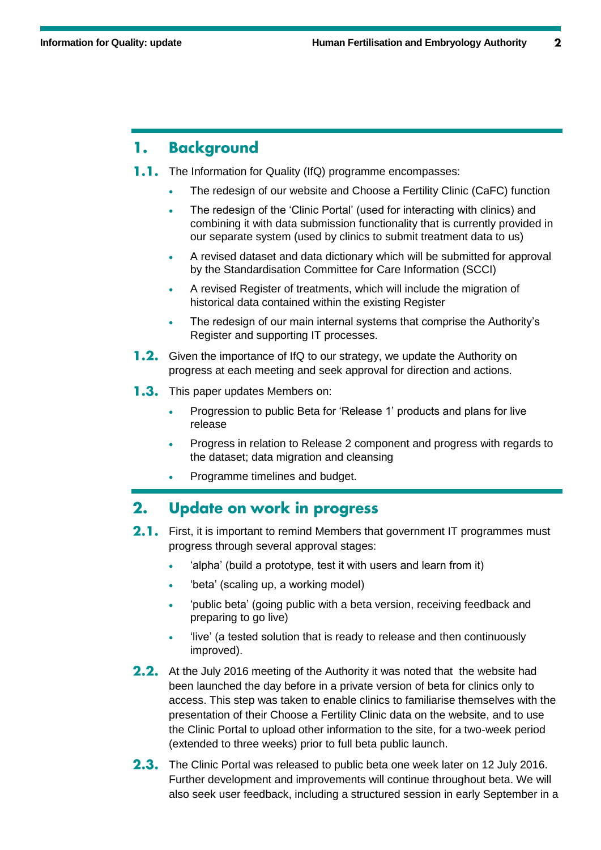# **Background** 1.

- $1.1.$ The Information for Quality (IfQ) programme encompasses:
	- The redesign of our website and Choose a Fertility Clinic (CaFC) function
	- The redesign of the 'Clinic Portal' (used for interacting with clinics) and combining it with data submission functionality that is currently provided in our separate system (used by clinics to submit treatment data to us)
	- A revised dataset and data dictionary which will be submitted for approval by the Standardisation Committee for Care Information (SCCI)
	- A revised Register of treatments, which will include the migration of historical data contained within the existing Register
	- The redesign of our main internal systems that comprise the Authority's Register and supporting IT processes.
- **1.2.** Given the importance of IfQ to our strategy, we update the Authority on progress at each meeting and seek approval for direction and actions.
- **1.3.** This paper updates Members on:
	- Progression to public Beta for 'Release 1' products and plans for live release
	- Progress in relation to Release 2 component and progress with regards to the dataset; data migration and cleansing
	- Programme timelines and budget.

## **Update on work in progress**  $2.$

- 2.1. First, it is important to remind Members that government IT programmes must progress through several approval stages:
	- 'alpha' (build a prototype, test it with users and learn from it)
	- 'beta' (scaling up, a working model)
	- 'public beta' (going public with a beta version, receiving feedback and preparing to go live)
	- 'live' (a tested solution that is ready to release and then continuously improved).
- **2.2.** At the July 2016 meeting of the Authority it was noted that the website had been launched the day before in a private version of beta for clinics only to access. This step was taken to enable clinics to familiarise themselves with the presentation of their Choose a Fertility Clinic data on the website, and to use the Clinic Portal to upload other information to the site, for a two-week period (extended to three weeks) prior to full beta public launch.
- 2.3. The Clinic Portal was released to public beta one week later on 12 July 2016. Further development and improvements will continue throughout beta. We will also seek user feedback, including a structured session in early September in a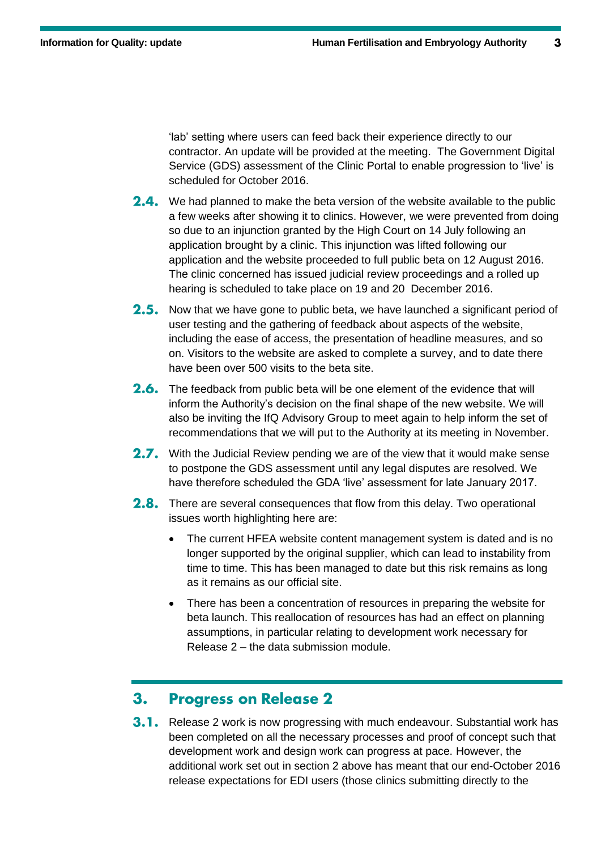'lab' setting where users can feed back their experience directly to our contractor. An update will be provided at the meeting. The Government Digital Service (GDS) assessment of the Clinic Portal to enable progression to 'live' is scheduled for October 2016.

- **2.4.** We had planned to make the beta version of the website available to the public a few weeks after showing it to clinics. However, we were prevented from doing so due to an injunction granted by the High Court on 14 July following an application brought by a clinic. This injunction was lifted following our application and the website proceeded to full public beta on 12 August 2016. The clinic concerned has issued judicial review proceedings and a rolled up hearing is scheduled to take place on 19 and 20 December 2016.
- $2.5.$ Now that we have gone to public beta, we have launched a significant period of user testing and the gathering of feedback about aspects of the website, including the ease of access, the presentation of headline measures, and so on. Visitors to the website are asked to complete a survey, and to date there have been over 500 visits to the beta site.
- **2.6.** The feedback from public beta will be one element of the evidence that will inform the Authority's decision on the final shape of the new website. We will also be inviting the IfQ Advisory Group to meet again to help inform the set of recommendations that we will put to the Authority at its meeting in November.
- 2.7. With the Judicial Review pending we are of the view that it would make sense to postpone the GDS assessment until any legal disputes are resolved. We have therefore scheduled the GDA 'live' assessment for late January 2017.
- 2.8. There are several consequences that flow from this delay. Two operational issues worth highlighting here are:
	- The current HFEA website content management system is dated and is no longer supported by the original supplier, which can lead to instability from time to time. This has been managed to date but this risk remains as long as it remains as our official site.
	- There has been a concentration of resources in preparing the website for beta launch. This reallocation of resources has had an effect on planning assumptions, in particular relating to development work necessary for Release 2 – the data submission module.

## **Progress on Release 2** 3.

3.1. Release 2 work is now progressing with much endeavour. Substantial work has been completed on all the necessary processes and proof of concept such that development work and design work can progress at pace. However, the additional work set out in section 2 above has meant that our end-October 2016 release expectations for EDI users (those clinics submitting directly to the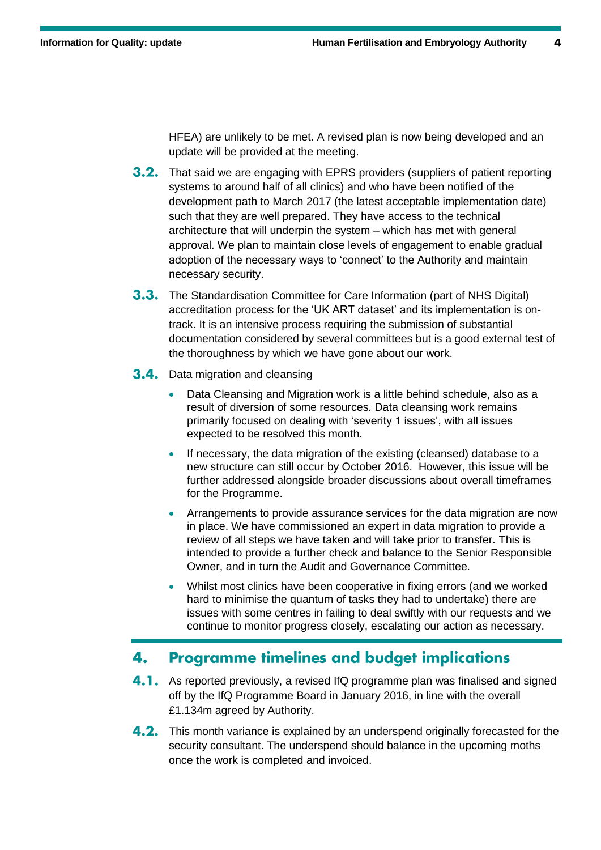HFEA) are unlikely to be met. A revised plan is now being developed and an update will be provided at the meeting.

- **3.2.** That said we are engaging with EPRS providers (suppliers of patient reporting systems to around half of all clinics) and who have been notified of the development path to March 2017 (the latest acceptable implementation date) such that they are well prepared. They have access to the technical architecture that will underpin the system – which has met with general approval. We plan to maintain close levels of engagement to enable gradual adoption of the necessary ways to 'connect' to the Authority and maintain necessary security.
- **3.3.** The Standardisation Committee for Care Information (part of NHS Digital) accreditation process for the 'UK ART dataset' and its implementation is ontrack. It is an intensive process requiring the submission of substantial documentation considered by several committees but is a good external test of the thoroughness by which we have gone about our work.
- **3.4.** Data migration and cleansing
	- Data Cleansing and Migration work is a little behind schedule, also as a result of diversion of some resources. Data cleansing work remains primarily focused on dealing with 'severity 1 issues', with all issues expected to be resolved this month.
	- If necessary, the data migration of the existing (cleansed) database to a new structure can still occur by October 2016. However, this issue will be further addressed alongside broader discussions about overall timeframes for the Programme.
	- Arrangements to provide assurance services for the data migration are now in place. We have commissioned an expert in data migration to provide a review of all steps we have taken and will take prior to transfer. This is intended to provide a further check and balance to the Senior Responsible Owner, and in turn the Audit and Governance Committee.
	- Whilst most clinics have been cooperative in fixing errors (and we worked hard to minimise the quantum of tasks they had to undertake) there are issues with some centres in failing to deal swiftly with our requests and we continue to monitor progress closely, escalating our action as necessary.

### 4. **Programme timelines and budget implications**

- **4.1.** As reported previously, a revised IfQ programme plan was finalised and signed off by the IfQ Programme Board in January 2016, in line with the overall £1.134m agreed by Authority.
- 4.2. This month variance is explained by an underspend originally forecasted for the security consultant. The underspend should balance in the upcoming moths once the work is completed and invoiced.